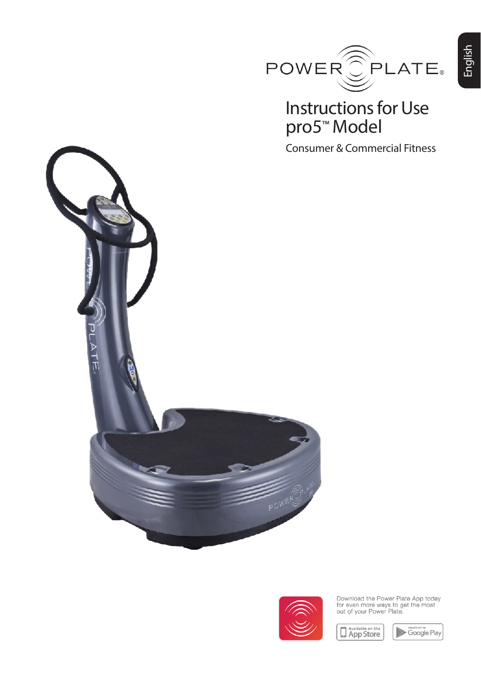

## Instructions for Use pro5™ Model

Consumer & Commercial Fitness





Download the Power Plate App today<br>for even more ways to get the most<br>out of your Power Plate.



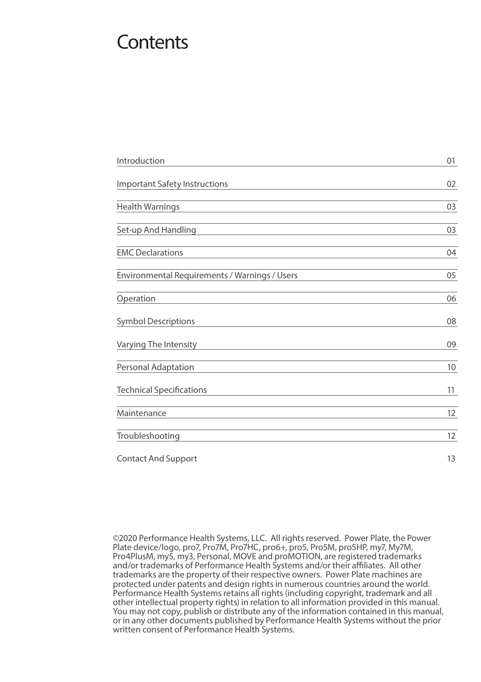## **Contents**

| Introduction                                  | 01 |
|-----------------------------------------------|----|
| <b>Important Safety Instructions</b>          | 02 |
| <b>Health Warnings</b>                        | 03 |
| Set-up And Handling                           | 03 |
| <b>EMC Declarations</b>                       | 04 |
| Environmental Requirements / Warnings / Users | 05 |
| Operation                                     | 06 |
| <b>Symbol Descriptions</b>                    | 08 |
| Varying The Intensity                         | 09 |
| Personal Adaptation                           | 10 |
| <b>Technical Specifications</b>               | 11 |
| Maintenance                                   | 12 |
| Troubleshooting                               | 12 |
| <b>Contact And Support</b>                    | 13 |

©2020 Performance Health Systems, LLC. All rights reserved. Power Plate, the Power Plate device/logo, pro7, Pro7M, Pro7HC, pro6+, pro5, Pro5M, pro5HP, my7, My7M, Pro4PlusM, my5, my3, Personal, MOVE and proMOTION, are registered trademarks and/or trademarks of Performance Health Systems and/or their affiliates. All other trademarks are the property of their respective owners. Power Plate machines are protected under patents and design rights in numerous countries around the world. Performance Health Systems retains all rights (including copyright, trademark and all other intellectual property rights) in relation to all information provided in this manual. You may not copy, publish or distribute any of the information contained in this manual, or in any other documents published by Performance Health Systems without the prior written consent of Performance Health Systems.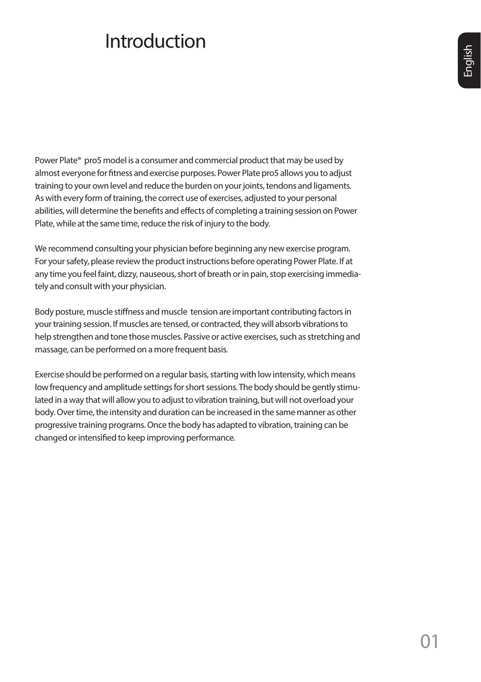# **Introduction**

English

Power Plate® pro5 model is a consumer and commercial product that may be used by almost everyone for fitness and exercise purposes. Power Plate pro5 allows you to adjust training to your own level and reduce the burden on your joints, tendons and ligaments. As with every form of training, the correct use of exercises, adjusted to your personal abilities, will determine the benefits and effects of completing a training session on Power Plate, while at the same time, reduce the risk of injury to the body.

We recommend consulting your physician before beginning any new exercise program. For your safety, please review the product instructions before operating Power Plate. If at any time you feel faint, dizzy, nauseous, short of breath or in pain, stop exercising immediately and consult with your physician.

Body posture, muscle stiffness and muscle tension are important contributing factors in your training session. If muscles are tensed, or contracted, they will absorb vibrations to help strengthen and tone those muscles. Passive or active exercises, such as stretching and massage, can be performed on a more frequent basis.

Exercise should be performed on a regular basis, starting with low intensity, which means low frequency and amplitude settings for short sessions. The body should be gently stimulated in a way that will allow you to adjust to vibration training, but will not overload your body. Over time, the intensity and duration can be increased in the same manner as other progressive training programs. Once the body has adapted to vibration, training can be changed or intensified to keep improving performance.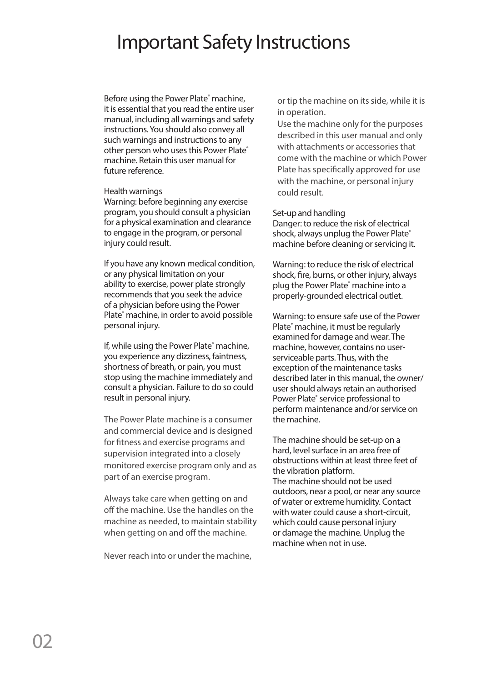## Important Safety Instructions

Before using the Power Plate<sup>®</sup> machine, it is essential that you read the entire user manual, including all warnings and safety instructions. You should also convey all such warnings and instructions to any other person who uses this Power Plate® machine. Retain this user manual for future reference.

### Health warnings

Warning: before beginning any exercise program, you should consult a physician for a physical examination and clearance to engage in the program, or personal injury could result.

If you have any known medical condition, or any physical limitation on your ability to exercise, power plate strongly recommends that you seek the advice of a physician before using the Power Plate<sup>®</sup> machine, in order to avoid possible personal injury.

If, while using the Power Plate<sup>®</sup> machine, you experience any dizziness, faintness, shortness of breath, or pain, you must stop using the machine immediately and consult a physician. Failure to do so could result in personal injury.

The Power Plate machine is a consumer and commercial device and is designed for fitness and exercise programs and supervision integrated into a closely monitored exercise program only and as part of an exercise program.

Always take care when getting on and off the machine. Use the handles on the machine as needed, to maintain stability when getting on and off the machine.

Never reach into or under the machine,

or tip the machine on its side, while it is in operation.

Use the machine only for the purposes described in this user manual and only with attachments or accessories that come with the machine or which Power Plate has specifically approved for use with the machine, or personal injury could result.

### Set-up and handling

Danger: to reduce the risk of electrical shock, always unplug the Power Plate® machine before cleaning or servicing it.

Warning: to reduce the risk of electrical shock, fire, burns, or other injury, always plug the Power Plate® machine into a properly-grounded electrical outlet.

Warning: to ensure safe use of the Power Plate® machine, it must be regularly examined for damage and wear. The machine, however, contains no userserviceable parts. Thus, with the exception of the maintenance tasks described later in this manual, the owner/ user should always retain an authorised Power Plate® service professional to perform maintenance and/or service on the machine.

The machine should be set-up on a hard, level surface in an area free of obstructions within at least three feet of the vibration platform. The machine should not be used outdoors, near a pool, or near any source of water or extreme humidity. Contact with water could cause a short-circuit, which could cause personal injury or damage the machine. Unplug the machine when not in use.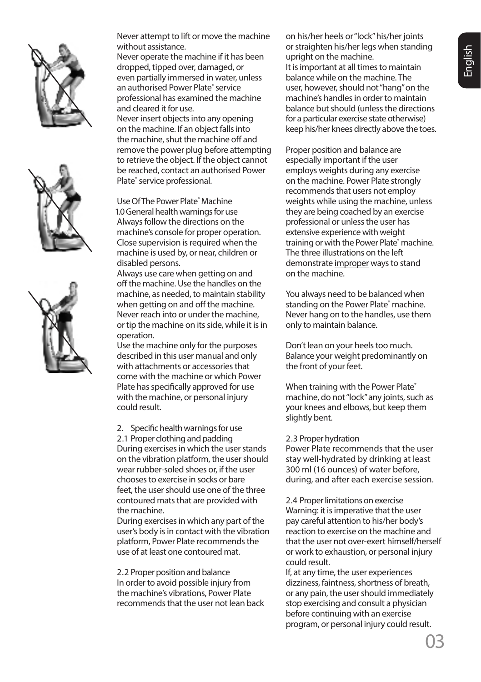





Never attempt to lift or move the machine without assistance.

Never operate the machine if it has been dropped, tipped over, damaged, or even partially immersed in water, unless an authorised Power Plate® service professional has examined the machine and cleared it for use. Never insert objects into any opening on the machine. If an object falls into the machine, shut the machine off and remove the power plug before attempting to retrieve the object. If the object cannot be reached, contact an authorised Power Plate<sup>®</sup> service professional.

Use Of The Power Plate® Machine 1.0 General health warnings for use Always follow the directions on the machine's console for proper operation. Close supervision is required when the machine is used by, or near, children or disabled persons.

Always use care when getting on and off the machine. Use the handles on the machine, as needed, to maintain stability when getting on and off the machine. Never reach into or under the machine, or tip the machine on its side, while it is in operation.

Use the machine only for the purposes described in this user manual and only with attachments or accessories that come with the machine or which Power Plate has specifically approved for use with the machine, or personal injury could result.

2. Specific health warnings for use 2.1 Proper clothing and padding During exercises in which the user stands

on the vibration platform, the user should wear rubber-soled shoes or, if the user chooses to exercise in socks or bare feet, the user should use one of the three contoured mats that are provided with the machine.

During exercises in which any part of the user's body is in contact with the vibration platform, Power Plate recommends the use of at least one contoured mat.

2.2 Proper position and balance In order to avoid possible injury from the machine's vibrations, Power Plate recommends that the user not lean back on his/her heels or "lock" his/her joints or straighten his/her legs when standing upright on the machine. It is important at all times to maintain balance while on the machine. The user, however, should not "hang" on the machine's handles in order to maintain balance but should (unless the directions for a particular exercise state otherwise) keep his/her knees directly above the toes.

Proper position and balance are especially important if the user employs weights during any exercise on the machine. Power Plate strongly recommends that users not employ weights while using the machine, unless they are being coached by an exercise professional or unless the user has extensive experience with weight training or with the Power Plate<sup>®</sup> machine. The three illustrations on the left demonstrate improper ways to stand on the machine.

You always need to be balanced when standing on the Power Plate® machine. Never hang on to the handles, use them only to maintain balance.

Don't lean on your heels too much. Balance your weight predominantly on the front of your feet.

When training with the Power Plate® machine, do not "lock" any joints, such as your knees and elbows, but keep them slightly bent.

### 2.3 Proper hydration

Power Plate recommends that the user stay well-hydrated by drinking at least 300 ml (16 ounces) of water before, during, and after each exercise session.

2.4 Proper limitations on exercise Warning: it is imperative that the user pay careful attention to his/her body's reaction to exercise on the machine and that the user not over-exert himself/herself or work to exhaustion, or personal injury could result.

If, at any time, the user experiences dizziness, faintness, shortness of breath, or any pain, the user should immediately stop exercising and consult a physician before continuing with an exercise program, or personal injury could result.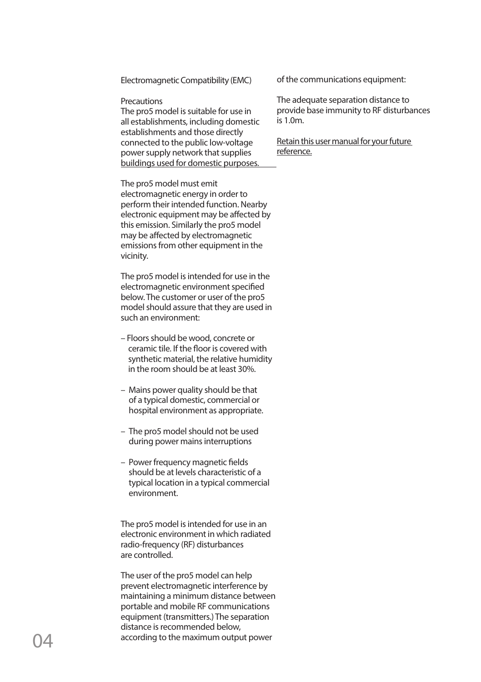Electromagnetic Compatibility (EMC)

### **Precautions**

The pro5 model is suitable for use in all establishments, including domestic establishments and those directly connected to the public low-voltage power supply network that supplies buildings used for domestic purposes.

The pro5 model must emit electromagnetic energy in order to perform their intended function. Nearby electronic equipment may be affected by this emission. Similarly the pro5 model may be affected by electromagnetic emissions from other equipment in the vicinity.

The pro5 model is intended for use in the electromagnetic environment specified below. The customer or user of the pro5 model should assure that they are used in such an environment:

- Floors should be wood, concrete or ceramic tile. If the floor is covered with synthetic material, the relative humidity in the room should be at least 30%.
- Mains power quality should be that of a typical domestic, commercial or hospital environment as appropriate.
- The pro5 model should not be used during power mains interruptions
- Power frequency magnetic fields should be at levels characteristic of a typical location in a typical commercial environment.

The pro5 model is intended for use in an electronic environment in which radiated radio-frequency (RF) disturbances are controlled.

The user of the pro5 model can help prevent electromagnetic interference by maintaining a minimum distance between portable and mobile RF communications equipment (transmitters.) The separation distance is recommended below, according to the maximum output power

of the communications equipment:

The adequate separation distance to provide base immunity to RF disturbances is 1.0m.

Retain this user manual for your future reference.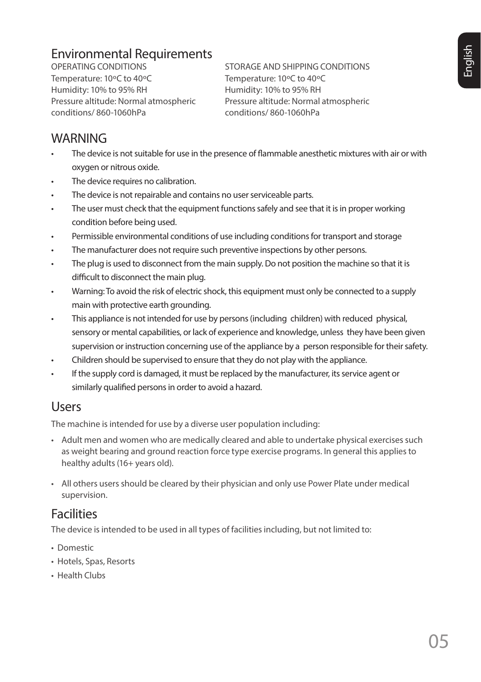## Environmental Requirements

OPERATING CONDITIONS Temperature: 10ºC to 40ºC Humidity: 10% to 95% RH Pressure altitude: Normal atmospheric conditions/ 860-1060hPa

STORAGE AND SHIPPING CONDITIONS Temperature: 10ºC to 40ºC Humidity: 10% to 95% RH Pressure altitude: Normal atmospheric conditions/ 860-1060hPa

### **WARNING**

- The device is not suitable for use in the presence of flammable anesthetic mixtures with air or with oxygen or nitrous oxide.
- The device requires no calibration.
- The device is not repairable and contains no user serviceable parts.
- The user must check that the equipment functions safely and see that it is in proper working condition before being used.
- Permissible environmental conditions of use including conditions for transport and storage
- The manufacturer does not require such preventive inspections by other persons.
- The plug is used to disconnect from the main supply. Do not position the machine so that it is difficult to disconnect the main plug.
- Warning: To avoid the risk of electric shock, this equipment must only be connected to a supply main with protective earth grounding.
- This appliance is not intended for use by persons (including children) with reduced physical, sensory or mental capabilities, or lack of experience and knowledge, unless they have been given supervision or instruction concerning use of the appliance by a person responsible for their safety.
- Children should be supervised to ensure that they do not play with the appliance.
- If the supply cord is damaged, it must be replaced by the manufacturer, its service agent or similarly qualified persons in order to avoid a hazard.

### Users

The machine is intended for use by a diverse user population including:

- Adult men and women who are medically cleared and able to undertake physical exercises such as weight bearing and ground reaction force type exercise programs. In general this applies to healthy adults (16+ years old).
- All others users should be cleared by their physician and only use Power Plate under medical supervision.

### **Facilities**

The device is intended to be used in all types of facilities including, but not limited to:

- Domestic
- Hotels, Spas, Resorts
- Health Clubs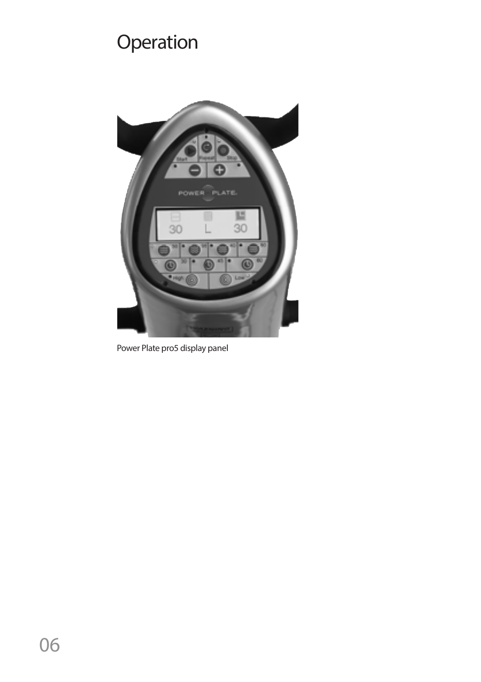# **Operation**



Power Plate pro5 display panel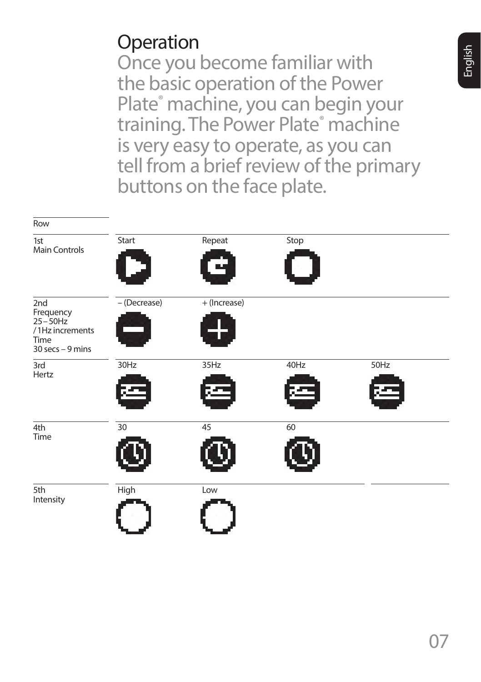# **Operation**

Once you become familiar with the basic operation of the Power Plate<sup>®</sup> machine, you can begin your training. The Power Plate<sup>®</sup> machine is very easy to operate, as you can tell from a brief review of the primary buttons on the face plate.

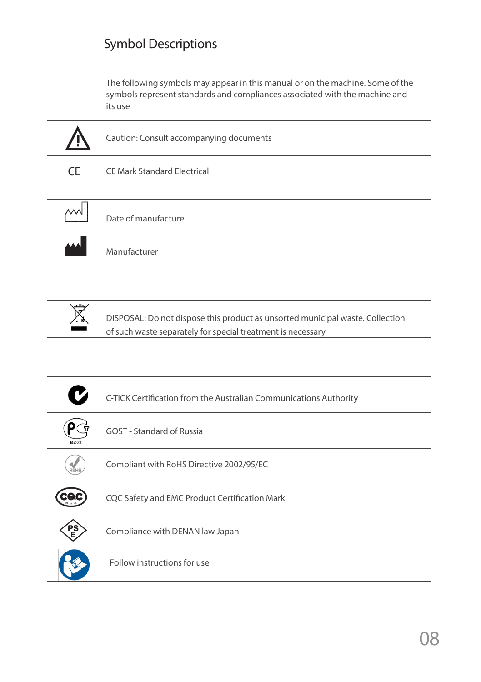### Symbol Descriptions

The following symbols may appear in this manual or on the machine. Some of the symbols represent standards and compliances associated with the machine and its use





DISPOSAL: Do not dispose this product as unsorted municipal waste. Collection of such waste separately for special treatment is necessary

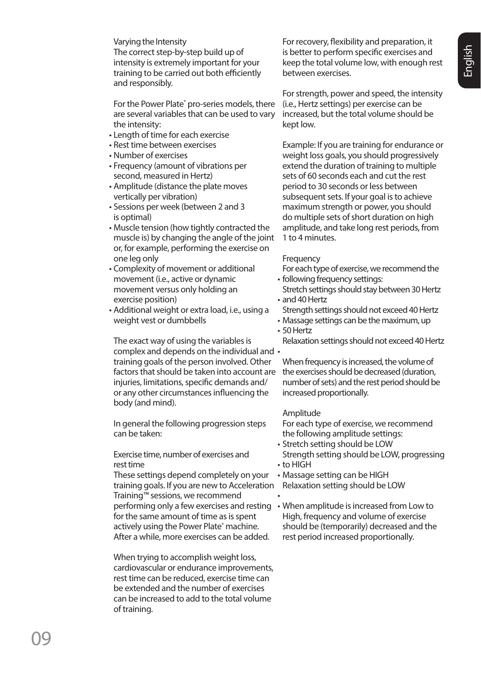Varying the Intensity The correct step-by-step build up of intensity is extremely important for your training to be carried out both efficiently and responsibly.

For the Power Plate<sup>®</sup> pro-series models, there are several variables that can be used to vary the intensity:

- Length of time for each exercise •
- Rest time between exercises •
- Number of exercises •
- Frequency (amount of vibrations per second, measured in Hertz)
- Amplitude (distance the plate moves vertically per vibration)
- Sessions per week (between 2 and 3 is optimal)
- Muscle tension (how tightly contracted the muscle is) by changing the angle of the joint or, for example, performing the exercise on one leg only
- Complexity of movement or additional movement (i.e., active or dynamic movement versus only holding an exercise position)
- Additional weight or extra load, i.e., using a weight vest or dumbbells

The exact way of using the variables is complex and depends on the individual and • training goals of the person involved. Other factors that should be taken into account are injuries, limitations, specific demands and/ or any other circumstances influencing the body (and mind).

In general the following progression steps can be taken:

### Exercise time, number of exercises and rest time

These settings depend completely on your training goals. If you are new to Acceleration Relaxation setting should be LOW Training™ sessions, we recommend performing only a few exercises and resting • When amplitude is increased from Low to for the same amount of time as is spent actively using the Power Plate<sup>®</sup> machine. After a while, more exercises can be added.

When trying to accomplish weight loss, cardiovascular or endurance improvements, rest time can be reduced, exercise time can be extended and the number of exercises can be increased to add to the total volume of training.

For recovery, flexibility and preparation, it is better to perform specific exercises and keep the total volume low, with enough rest between exercises.

For strength, power and speed, the intensity (i.e., Hertz settings) per exercise can be increased, but the total volume should be kept low.

Example: If you are training for endurance or weight loss goals, you should progressively extend the duration of training to multiple sets of 60 seconds each and cut the rest period to 30 seconds or less between subsequent sets. If your goal is to achieve maximum strength or power, you should do multiple sets of short duration on high amplitude, and take long rest periods, from  $1 \text{ to } 4 \text{ minutes}$ 

### Frequency

For each type of exercise, we recommend the

- following frequency settings: Stretch settings should stay between 30 Hertz and 40 Hertz •
- Strength settings should not exceed 40 Hertz
- Massage settings can be the maximum, up •
- 50 Hertz
	- Relaxation settings should not exceed 40 Hertz

When frequency is increased, the volume of the exercises should be decreased (duration, number of sets) and the rest period should be increased proportionally.

### Amplitude

•

For each type of exercise, we recommend the following amplitude settings:

- Stretch setting should be LOW Strength setting should be LOW, progressing to HIGH •
- Massage setting can be HIGH •
- 
- High, frequency and volume of exercise should be (temporarily) decreased and the rest period increased proportionally.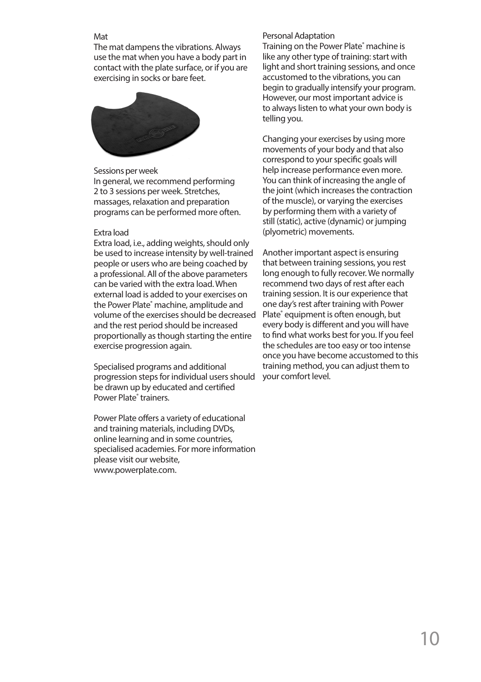#### Mat

The mat dampens the vibrations. Always use the mat when you have a body part in contact with the plate surface, or if you are exercising in socks or bare feet.



#### Sessions per week

In general, we recommend performing 2 to 3 sessions per week. Stretches, massages, relaxation and preparation programs can be performed more often.

### Extra load

Extra load, i.e., adding weights, should only be used to increase intensity by well-trained people or users who are being coached by a professional. All of the above parameters can be varied with the extra load. When external load is added to your exercises on the Power Plate® machine, amplitude and volume of the exercises should be decreased and the rest period should be increased proportionally as though starting the entire exercise progression again.

Specialised programs and additional progression steps for individual users should be drawn up by educated and certified Power Plate<sup>®</sup> trainers.

Power Plate offers a variety of educational and training materials, including DVDs, online learning and in some countries, specialised academies. For more information please visit our website, www.powerplate.com.

#### Personal Adaptation

Training on the Power Plate® machine is like any other type of training: start with light and short training sessions, and once accustomed to the vibrations, you can begin to gradually intensify your program. However, our most important advice is to always listen to what your own body is telling you.

Changing your exercises by using more movements of your body and that also correspond to your specific goals will help increase performance even more. You can think of increasing the angle of the joint (which increases the contraction of the muscle), or varying the exercises by performing them with a variety of still (static), active (dynamic) or jumping (plyometric) movements.

Another important aspect is ensuring that between training sessions, you rest long enough to fully recover. We normally recommend two days of rest after each training session. It is our experience that one day's rest after training with Power Plate<sup>®</sup> equipment is often enough, but every body is different and you will have to find what works best for you. If you feel the schedules are too easy or too intense once you have become accustomed to this training method, you can adjust them to your comfort level.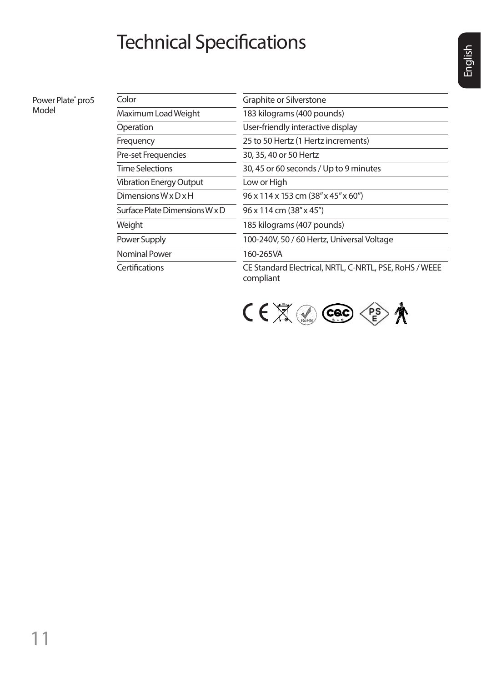# Technical Specifications

Power Plate® pro5 Model

| Color                            | Graphite or Silverstone                                             |  |
|----------------------------------|---------------------------------------------------------------------|--|
| Maximum Load Weight              | 183 kilograms (400 pounds)                                          |  |
| Operation                        | User-friendly interactive display                                   |  |
| Frequency                        | 25 to 50 Hertz (1 Hertz increments)                                 |  |
| Pre-set Frequencies              | 30, 35, 40 or 50 Hertz                                              |  |
| <b>Time Selections</b>           | 30, 45 or 60 seconds / Up to 9 minutes                              |  |
| <b>Vibration Energy Output</b>   | Low or High                                                         |  |
| Dimensions $W \times D \times H$ | 96 x 114 x 153 cm (38" x 45" x 60")                                 |  |
| Surface Plate Dimensions W x D   | 96 x 114 cm (38" x 45")                                             |  |
| Weight                           | 185 kilograms (407 pounds)                                          |  |
| Power Supply                     | 100-240V, 50 / 60 Hertz, Universal Voltage                          |  |
| Nominal Power                    | 160-265VA                                                           |  |
| Certifications                   | CE Standard Electrical, NRTL, C-NRTL, PSE, RoHS / WEEE<br>compliant |  |

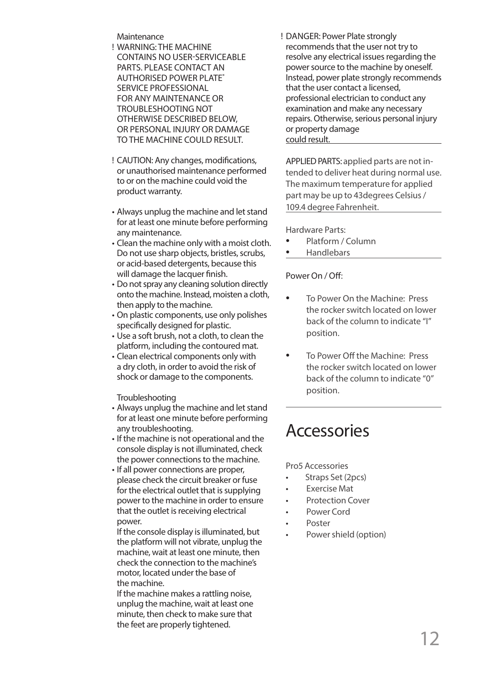**Maintenance** 

- WARNING: THE MACHINE ! CONTAINS NO USER-SERVICEABLE PARTS. PLEASE CONTACT AN AUTHORISED POWER PLATE® SERVICE PROFESSIONAL FOR ANY MAINTENANCE OR TROUBLESHOOTING NOT OTHERWISE DESCRIBED BELOW, OR PERSONAL INJURY OR DAMAGE TO THE MACHINE COULD RESULT.
- CAUTION: Any changes, modifications, ! or unauthorised maintenance performed to or on the machine could void the product warranty.
- Always unplug the machine and let stand for at least one minute before performing any maintenance.
- Clean the machine only with a moist cloth. Do not use sharp objects, bristles, scrubs, or acid-based detergents, because this will damage the lacquer finish.
- Do not spray any cleaning solution directly onto the machine. Instead, moisten a cloth, then apply to the machine.
- On plastic components, use only polishes specifically designed for plastic.
- Use a soft brush, not a cloth, to clean the platform, including the contoured mat.
- Clean electrical components only with a dry cloth, in order to avoid the risk of shock or damage to the components.

Troubleshooting

- Always unplug the machine and let stand for at least one minute before performing any troubleshooting.
- If the machine is not operational and the console display is not illuminated, check the power connections to the machine.
- If all power connections are proper, please check the circuit breaker or fuse for the electrical outlet that is supplying power to the machine in order to ensure that the outlet is receiving electrical power.

If the console display is illuminated, but the platform will not vibrate, unplug the machine, wait at least one minute, then check the connection to the machine's motor, located under the base of the machine.

If the machine makes a rattling noise, unplug the machine, wait at least one minute, then check to make sure that the feet are properly tightened.

DANGER: Power Plate strongly ! recommends that the user not try to resolve any electrical issues regarding the power source to the machine by oneself. Instead, power plate strongly recommends that the user contact a licensed, professional electrician to conduct any examination and make any necessary repairs. Otherwise, serious personal injury or property damage could result.

APPLIED PARTS: applied parts are not intended to deliver heat during normal use. The maximum temperature for applied part may be up to 43degrees Celsius / 109.4 degree Fahrenheit.

Hardware Parts:

- Platform / Column
- Handlebars

Power On / Off:

- To Power On the Machine: Press the rocker switch located on lower back of the column to indicate "I" position.
- To Power Off the Machine: Press the rocker switch located on lower back of the column to indicate "0" position.

## Accessories

Pro5 Accessories

- Straps Set (2pcs)
- **Exercise Mat**
- Protection Cover
- Power Cord
- Poster
- Power shield (option)